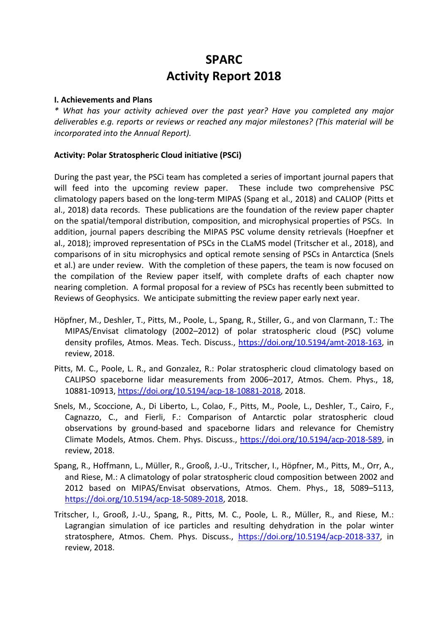# **SPARC Activity Report 2018**

### **I. Achievements and Plans**

*\* What has your activity achieved over the past year? Have you completed any major deliverables e.g. reports or reviews or reached any major milestones? (This material will be incorporated into the Annual Report).*

## **Activity: Polar Stratospheric Cloud initiative (PSCi)**

During the past year, the PSCi team has completed a series of important journal papers that will feed into the upcoming review paper. These include two comprehensive PSC climatology papers based on the long-term MIPAS (Spang et al., 2018) and CALIOP (Pitts et al., 2018) data records. These publications are the foundation of the review paper chapter on the spatial/temporal distribution, composition, and microphysical properties of PSCs. In addition, journal papers describing the MIPAS PSC volume density retrievals (Hoepfner et al., 2018); improved representation of PSCs in the CLaMS model (Tritscher et al., 2018), and comparisons of in situ microphysics and optical remote sensing of PSCs in Antarctica (Snels et al.) are under review. With the completion of these papers, the team is now focused on the compilation of the Review paper itself, with complete drafts of each chapter now nearing completion. A formal proposal for a review of PSCs has recently been submitted to Reviews of Geophysics. We anticipate submitting the review paper early next year.

- Höpfner, M., Deshler, T., Pitts, M., Poole, L., Spang, R., Stiller, G., and von Clarmann, T.: The MIPAS/Envisat climatology (2002–2012) of polar stratospheric cloud (PSC) volume density profiles, Atmos. Meas. Tech. Discuss., https://doi.org/10.5194/amt-2018-163, in review, 2018.
- Pitts, M. C., Poole, L. R., and Gonzalez, R.: Polar stratospheric cloud climatology based on CALIPSO spaceborne lidar measurements from 2006–2017, Atmos. Chem. Phys., 18, 10881-10913, https://doi.org/10.5194/acp-18-10881-2018, 2018.
- Snels, M., Scoccione, A., Di Liberto, L., Colao, F., Pitts, M., Poole, L., Deshler, T., Cairo, F., Cagnazzo, C., and Fierli, F.: Comparison of Antarctic polar stratospheric cloud observations by ground-based and spaceborne lidars and relevance for Chemistry Climate Models, Atmos. Chem. Phys. Discuss., https://doi.org/10.5194/acp-2018-589, in review, 2018.
- Spang, R., Hoffmann, L., Müller, R., Grooß, J.-U., Tritscher, I., Höpfner, M., Pitts, M., Orr, A., and Riese, M.: A climatology of polar stratospheric cloud composition between 2002 and 2012 based on MIPAS/Envisat observations, Atmos. Chem. Phys., 18, 5089–5113, https://doi.org/10.5194/acp-18-5089-2018, 2018.
- Tritscher, I., Grooß, J.-U., Spang, R., Pitts, M. C., Poole, L. R., Müller, R., and Riese, M.: Lagrangian simulation of ice particles and resulting dehydration in the polar winter stratosphere, Atmos. Chem. Phys. Discuss., https://doi.org/10.5194/acp-2018-337, in review, 2018.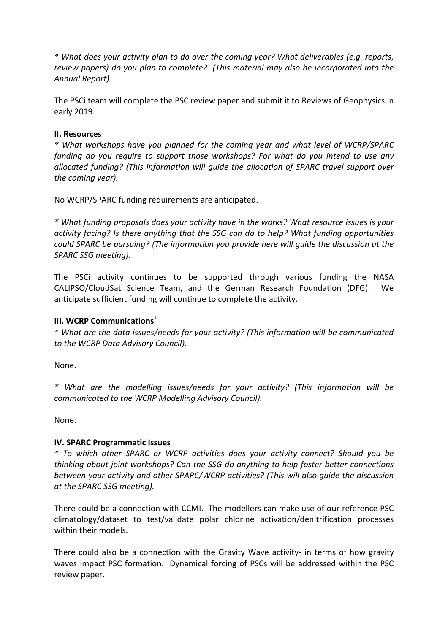*\* What does your activity plan to do over the coming year? What deliverables (e.g. reports, review papers) do you plan to complete? (This material may also be incorporated into the Annual Report).*

The PSCi team will complete the PSC review paper and submit it to Reviews of Geophysics in early 2019.

## **II. Resources**

*\* What workshops have you planned for the coming year and what level of WCRP/SPARC funding do you require to support those workshops? For what do you intend to use any allocated funding? (This information will guide the allocation of SPARC travel support over the coming year).*

No WCRP/SPARC funding requirements are anticipated.

*\* What funding proposals does your activity have in the works? What resource issues is your activity facing? Is there anything that the SSG can do to help? What funding opportunities could SPARC be pursuing? (The information you provide here will guide the discussion at the SPARC SSG meeting).*

The PSCi activity continues to be supported through various funding the NASA CALIPSO/CloudSat Science Team, and the German Research Foundation (DFG). We anticipate sufficient funding will continue to complete the activity.

## **III. WCRP Communications†**

*\* What are the data issues/needs for your activity? (This information will be communicated to the WCRP Data Advisory Council).*

None.

*\* What are the modelling issues/needs for your activity? (This information will be communicated to the WCRP Modelling Advisory Council).*

None.

## **IV. SPARC Programmatic Issues**

*\* To which other SPARC or WCRP activities does your activity connect? Should you be thinking about joint workshops? Can the SSG do anything to help foster better connections between your activity and other SPARC/WCRP activities? (This will also guide the discussion at the SPARC SSG meeting).*

There could be a connection with CCMI. The modellers can make use of our reference PSC climatology/dataset to test/validate polar chlorine activation/denitrification processes within their models.

There could also be a connection with the Gravity Wave activity- in terms of how gravity waves impact PSC formation. Dynamical forcing of PSCs will be addressed within the PSC review paper.